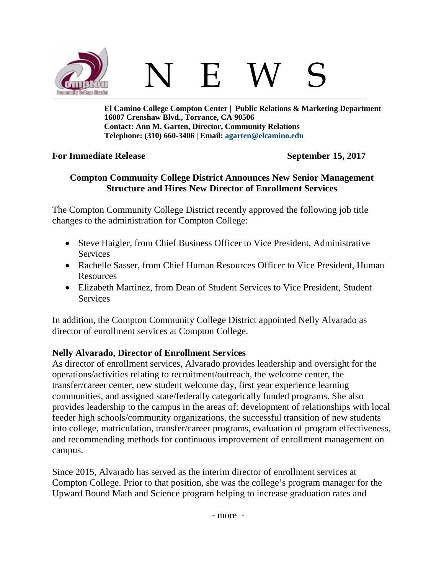

**El Camino College Compton Center | Public Relations & Marketing Department 16007 Crenshaw Blvd., Torrance, CA 90506 Contact: Ann M. Garten, Director, Community Relations Telephone: (310) 660-3406 | Email: [agarten@elcamino.edu](mailto:agarten@elcamino.edu)** 

## **For Immediate Release September 15, 2017**

## **Compton Community College District Announces New Senior Management Structure and Hires New Director of Enrollment Services**

The Compton Community College District recently approved the following job title changes to the administration for Compton College:

- Steve Haigler, from Chief Business Officer to Vice President, Administrative **Services**
- Rachelle Sasser, from Chief Human Resources Officer to Vice President, Human Resources
- Elizabeth Martinez, from Dean of Student Services to Vice President, Student **Services**

In addition, the Compton Community College District appointed Nelly Alvarado as director of enrollment services at Compton College.

# **Nelly Alvarado, Director of Enrollment Services**

As director of enrollment services, Alvarado provides leadership and oversight for the operations/activities relating to recruitment/outreach, the welcome center, the transfer/career center, new student welcome day, first year experience learning communities, and assigned state/federally categorically funded programs. She also provides leadership to the campus in the areas of: development of relationships with local feeder high schools/community organizations, the successful transition of new students into college, matriculation, transfer/career programs, evaluation of program effectiveness, and recommending methods for continuous improvement of enrollment management on campus.

Since 2015, Alvarado has served as the interim director of enrollment services at Compton College. Prior to that position, she was the college's program manager for the Upward Bound Math and Science program helping to increase graduation rates and